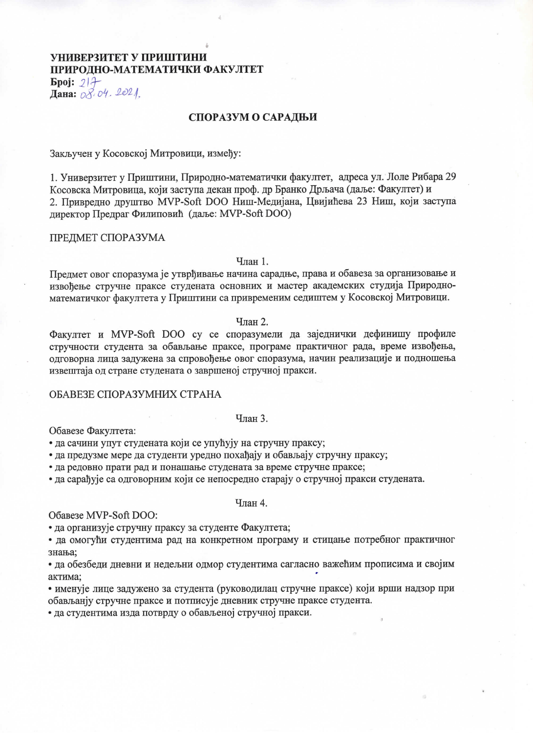# УНИВЕРЗИТЕТ У ПРИШТИНИ ПРИРОДНО-МАТЕМАТИЧКИ ФАКУЛТЕТ

 $\mathbf{Bpoj}: 214$ Дана: 08.04. 2021.

## СПОРАЗУМ О САРАДЊИ

Закључен у Косовској Митровици, између:

1. Универзитет у Приштини, Природно-математички факултет, адреса ул. Лоле Рибара 29 Косовска Митровица, који заступа декан проф. др Бранко Дрљача (даље: Факултет) и 2. Привредно друштво MVP-Soft DOO Ниш-Медијана, Цвијићева 23 Ниш, који заступа директор Предраг Филиповић (даље: MVP-Soft DOO)

### ПРЕДМЕТ СПОРАЗУМА

#### Члан 1.

Предмет овог споразума је утврђивање начина сарадње, права и обавеза за организовање и извођење стручне праксе студената основних и мастер академских студија Природноматематичког факултета у Приштини са привременим седиштем у Косовској Митровици.

# Члан 2.

Факултет и MVP-Soft DOO су се споразумели да заједнички дефинишу профиле стручности студента за обављање праксе, програме практичног рада, време извођења, олговорна лина залужена за спровођење овог споразума, начин реализације и подношења извештаја од стране студената о завршеној стручној пракси.

### ОБАВЕЗЕ СПОРАЗУМНИХ СТРАНА

#### Члан 3.

Обавезе Факултета:

• да сачини упут студената који се упућују на стручну праксу;

• да предузме мере да студенти уредно похађају и обављају стручну праксу;

• да редовно прати рад и понашање студената за време стручне праксе;

• да сарађује са одговорним који се непосредно старају о стручној пракси студената.

## Члан 4.

Обавезе MVP-Soft DOO:

• да организује стручну праксу за студенте Факултета;

• да омогући студентима рад на конкретном програму и стицање потребног практичног знања;

• да обезбеди дневни и недељни одмор студентима сагласно важећим прописима и својим актима:

• именује лице задужено за студента (руководилац стручне праксе) који врши надзор при обављанју стручне праксе и потписује дневник стручне праксе студента.

• да студентима изда потврду о обављеној стручној пракси.